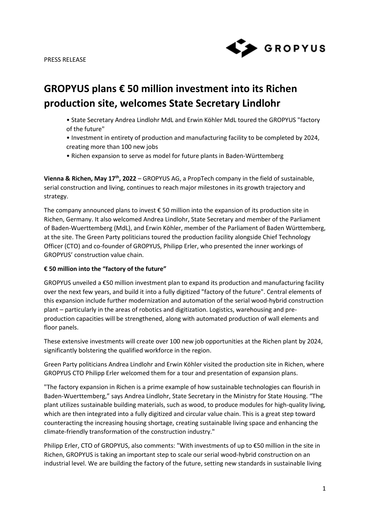

# **GROPYUS plans € 50 million investment into its Richen production site, welcomes State Secretary Lindlohr**

- State Secretary Andrea Lindlohr MdL and Erwin Köhler MdL toured the GROPYUS "factory of the future"
- Investment in entirety of production and manufacturing facility to be completed by 2024, creating more than 100 new jobs
- Richen expansion to serve as model for future plants in Baden-Württemberg

**Vienna & Richen, May 17th, 2022** – GROPYUS AG, a PropTech company in the field of sustainable, serial construction and living, continues to reach major milestones in its growth trajectory and strategy.

The company announced plans to invest € 50 million into the expansion of its production site in Richen, Germany. It also welcomed Andrea Lindlohr, State Secretary and member of the Parliament of Baden-Wuerttemberg (MdL), and Erwin Köhler, member of the Parliament of Baden Württemberg, at the site. The Green Party politicians toured the production facility alongside Chief Technology Officer (CTO) and co-founder of GROPYUS, Philipp Erler, who presented the inner workings of GROPYUS' construction value chain.

#### **€ 50 million into the "factory of the future"**

GROPYUS unveiled a €50 million investment plan to expand its production and manufacturing facility over the next few years, and build it into a fully digitized "factory of the future". Central elements of this expansion include further modernization and automation of the serial wood-hybrid construction plant – particularly in the areas of robotics and digitization. Logistics, warehousing and preproduction capacities will be strengthened, along with automated production of wall elements and floor panels.

These extensive investments will create over 100 new job opportunities at the Richen plant by 2024, significantly bolstering the qualified workforce in the region.

Green Party politicians Andrea Lindlohr and Erwin Köhler visited the production site in Richen, where GROPYUS CTO Philipp Erler welcomed them for a tour and presentation of expansion plans.

"The factory expansion in Richen is a prime example of how sustainable technologies can flourish in Baden-Wuerttemberg," says Andrea Lindlohr, State Secretary in the Ministry for State Housing. "The plant utilizes sustainable building materials, such as wood, to produce modules for high-quality living, which are then integrated into a fully digitized and circular value chain. This is a great step toward counteracting the increasing housing shortage, creating sustainable living space and enhancing the climate-friendly transformation of the construction industry."

Philipp Erler, CTO of GROPYUS, also comments: "With investments of up to €50 million in the site in Richen, GROPYUS is taking an important step to scale our serial wood-hybrid construction on an industrial level. We are building the factory of the future, setting new standards in sustainable living